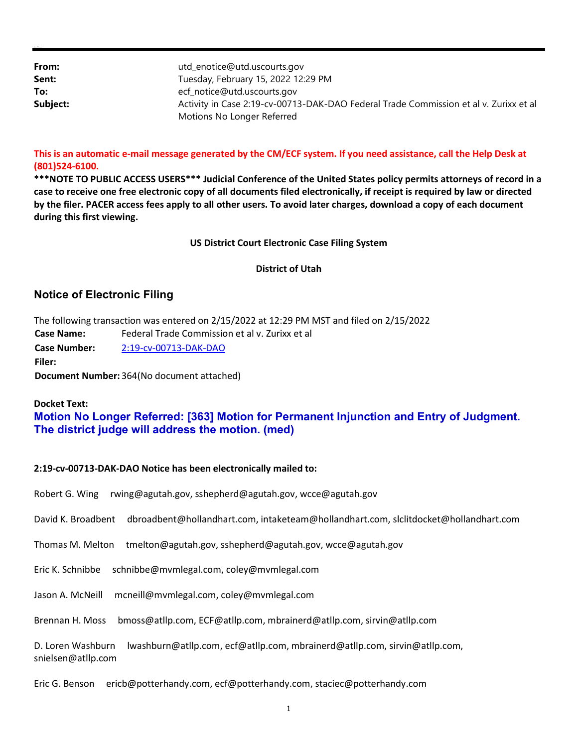| From:    | utd_enotice@utd.uscourts.gov                                                          |
|----------|---------------------------------------------------------------------------------------|
| Sent:    | Tuesday, February 15, 2022 12:29 PM                                                   |
| To:      | ecf_notice@utd.uscourts.gov                                                           |
| Subject: | Activity in Case 2:19-cv-00713-DAK-DAO Federal Trade Commission et al v. Zurixx et al |
|          | Motions No Longer Referred                                                            |

## This is an automatic e-mail message generated by the CM/ECF system. If you need assistance, call the Help Desk at (801)524-6100.

\*\*\*NOTE TO PUBLIC ACCESS USERS\*\*\* Judicial Conference of the United States policy permits attorneys of record in a case to receive one free electronic copy of all documents filed electronically, if receipt is required by law or directed by the filer. PACER access fees apply to all other users. To avoid later charges, download a copy of each document during this first viewing.

### US District Court Electronic Case Filing System

#### District of Utah

# Notice of Electronic Filing

| The following transaction was entered on 2/15/2022 at 12:29 PM MST and filed on 2/15/2022 |                                                |  |
|-------------------------------------------------------------------------------------------|------------------------------------------------|--|
| <b>Case Name:</b>                                                                         | Federal Trade Commission et al y. Zurixx et al |  |
| <b>Case Number:</b>                                                                       | 2:19-cv-00713-DAK-DAO                          |  |
| Filer:                                                                                    |                                                |  |
| Document Number: 364(No document attached)                                                |                                                |  |

## Docket Text:

Alyssa M. Summers

# Motion No Longer Referred: [363] Motion for Permanent Injunction and Entry of Judgment. The district judge will address the motion. (med)

#### 2:19-cv-00713-DAK-DAO Notice has been electronically mailed to:

| rwing@agutah.gov, sshepherd@agutah.gov, wcce@agutah.gov<br>Robert G. Wing                                             |
|-----------------------------------------------------------------------------------------------------------------------|
| David K. Broadbent<br>dbroadbent@hollandhart.com, intaketeam@hollandhart.com, slclitdocket@hollandhart.com            |
| tmelton@agutah.gov, sshepherd@agutah.gov, wcce@agutah.gov<br>Thomas M. Melton                                         |
| schnibbe@mvmlegal.com, coley@mvmlegal.com<br>Eric K. Schnibbe                                                         |
| mcneill@mvmlegal.com, coley@mvmlegal.com<br>Jason A. McNeill                                                          |
| Brennan H. Moss<br>bmoss@atllp.com, ECF@atllp.com, mbrainerd@atllp.com, sirvin@atllp.com                              |
| lwashburn@atllp.com, ecf@atllp.com, mbrainerd@atllp.com, sirvin@atllp.com,<br>D. Loren Washburn<br>snielsen@atllp.com |
| ericb@potterhandy.com, ecf@potterhandy.com, staciec@potterhandy.com<br>Eric G. Benson                                 |
|                                                                                                                       |